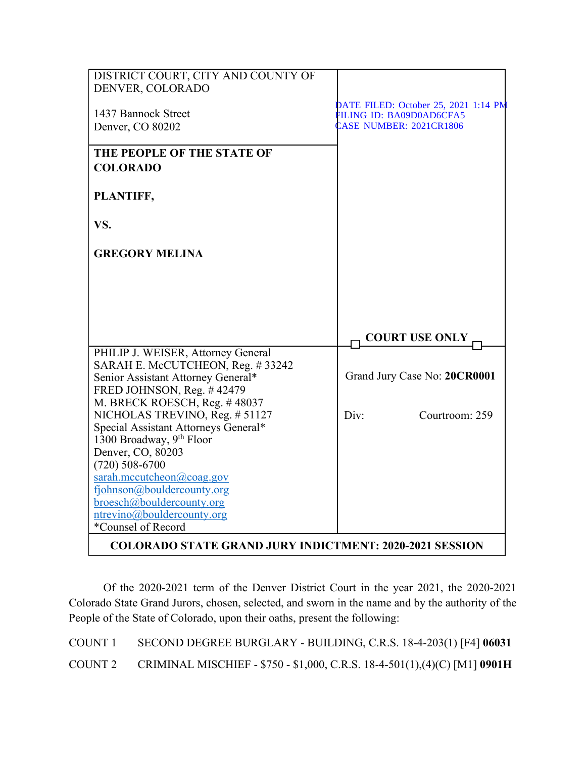| DISTRICT COURT, CITY AND COUNTY OF<br>DENVER, COLORADO         |                                      |
|----------------------------------------------------------------|--------------------------------------|
|                                                                | DATE FILED: October 25, 2021 1:14 PM |
| 1437 Bannock Street                                            | FILING ID: BA09D0AD6CFA5             |
| Denver, CO 80202                                               | <b>EASE NUMBER: 2021CR1806</b>       |
| THE PEOPLE OF THE STATE OF                                     |                                      |
| <b>COLORADO</b>                                                |                                      |
| PLANTIFF,                                                      |                                      |
| VS.                                                            |                                      |
| <b>GREGORY MELINA</b>                                          |                                      |
|                                                                |                                      |
|                                                                |                                      |
|                                                                |                                      |
|                                                                | <b>COURT USE ONLY</b>                |
| PHILIP J. WEISER, Attorney General                             |                                      |
| SARAH E. McCUTCHEON, Reg. #33242                               |                                      |
| Senior Assistant Attorney General*                             | Grand Jury Case No: 20CR0001         |
| FRED JOHNSON, Reg. #42479<br>M. BRECK ROESCH, Reg. #48037      |                                      |
| NICHOLAS TREVINO, Reg. # 51127                                 | Courtroom: 259<br>Div:               |
| Special Assistant Attorneys General*                           |                                      |
| 1300 Broadway, 9th Floor                                       |                                      |
| Denver, CO, 80203                                              |                                      |
| $(720)$ 508-6700                                               |                                      |
| sarah.mccutcheon@coag.gov                                      |                                      |
| fjohnson@bouldercounty.org                                     |                                      |
| broesch@bouldercounty.org                                      |                                      |
| ntrevino@bouldercounty.org                                     |                                      |
| *Counsel of Record                                             |                                      |
| <b>COLORADO STATE GRAND JURY INDICTMENT: 2020-2021 SESSION</b> |                                      |

Of the 2020-2021 term of the Denver District Court in the year 2021, the 2020-2021 Colorado State Grand Jurors, chosen, selected, and sworn in the name and by the authority of the People of the State of Colorado, upon their oaths, present the following:

COUNT 1 SECOND DEGREE BURGLARY - BUILDING, C.R.S. 18-4-203(1) [F4] **06031** COUNT 2 CRIMINAL MISCHIEF - \$750 - \$1,000, C.R.S. 18-4-501(1),(4)(C) [M1] **0901H**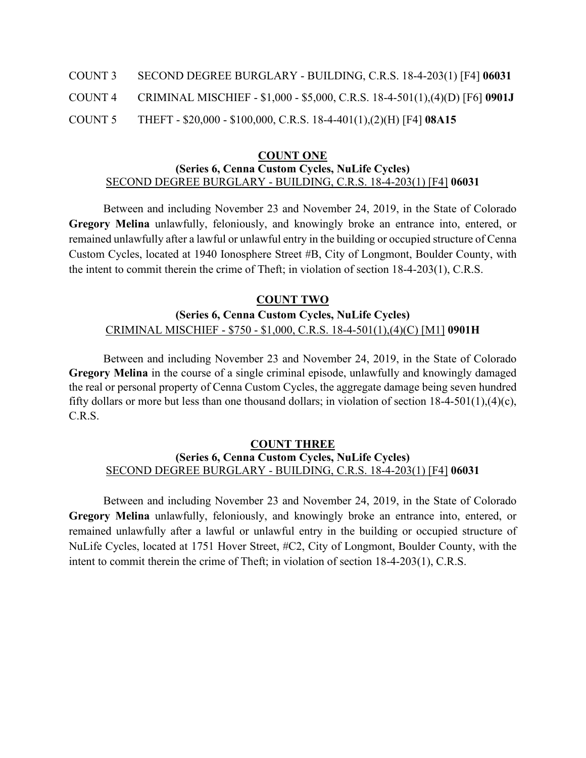- COUNT 3 SECOND DEGREE BURGLARY BUILDING, C.R.S. 18-4-203(1) [F4] **06031**
- COUNT 4 CRIMINAL MISCHIEF \$1,000 \$5,000, C.R.S. 18-4-501(1),(4)(D) [F6] **0901J**
- COUNT 5 THEFT \$20,000 \$100,000, C.R.S. 18-4-401(1),(2)(H) [F4] **08A15**

#### **COUNT ONE (Series 6, Cenna Custom Cycles, NuLife Cycles)** SECOND DEGREE BURGLARY - BUILDING, C.R.S. 18-4-203(1) [F4] **06031**

Between and including November 23 and November 24, 2019, in the State of Colorado **Gregory Melina** unlawfully, feloniously, and knowingly broke an entrance into, entered, or remained unlawfully after a lawful or unlawful entry in the building or occupied structure of Cenna Custom Cycles, located at 1940 Ionosphere Street #B, City of Longmont, Boulder County, with the intent to commit therein the crime of Theft; in violation of section 18-4-203(1), C.R.S.

## **COUNT TWO**

# **(Series 6, Cenna Custom Cycles, NuLife Cycles)** CRIMINAL MISCHIEF - \$750 - \$1,000, C.R.S. 18-4-501(1),(4)(C) [M1] **0901H**

Between and including November 23 and November 24, 2019, in the State of Colorado **Gregory Melina** in the course of a single criminal episode, unlawfully and knowingly damaged the real or personal property of Cenna Custom Cycles, the aggregate damage being seven hundred fifty dollars or more but less than one thousand dollars; in violation of section 18-4-501(1),(4)(c), C.R.S.

### **COUNT THREE (Series 6, Cenna Custom Cycles, NuLife Cycles)** SECOND DEGREE BURGLARY - BUILDING, C.R.S. 18-4-203(1) [F4] **06031**

Between and including November 23 and November 24, 2019, in the State of Colorado **Gregory Melina** unlawfully, feloniously, and knowingly broke an entrance into, entered, or remained unlawfully after a lawful or unlawful entry in the building or occupied structure of NuLife Cycles, located at 1751 Hover Street, #C2, City of Longmont, Boulder County, with the intent to commit therein the crime of Theft; in violation of section 18-4-203(1), C.R.S.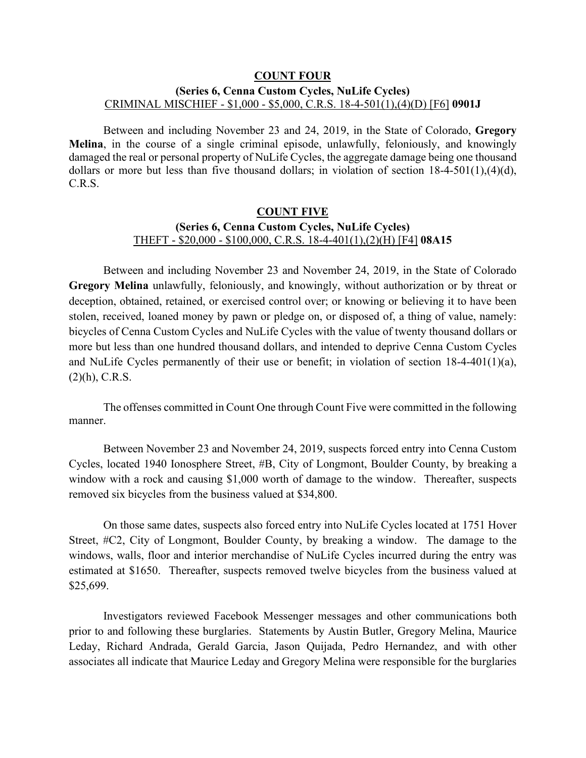### **COUNT FOUR (Series 6, Cenna Custom Cycles, NuLife Cycles)** CRIMINAL MISCHIEF - \$1,000 - \$5,000, C.R.S. 18-4-501(1),(4)(D) [F6] **0901J**

Between and including November 23 and 24, 2019, in the State of Colorado, **Gregory Melina**, in the course of a single criminal episode, unlawfully, feloniously, and knowingly damaged the real or personal property of NuLife Cycles, the aggregate damage being one thousand dollars or more but less than five thousand dollars; in violation of section 18-4-501(1),(4)(d), C.R.S.

## **COUNT FIVE (Series 6, Cenna Custom Cycles, NuLife Cycles)** THEFT - \$20,000 - \$100,000, C.R.S. 18-4-401(1),(2)(H) [F4] **08A15**

Between and including November 23 and November 24, 2019, in the State of Colorado **Gregory Melina** unlawfully, feloniously, and knowingly, without authorization or by threat or deception, obtained, retained, or exercised control over; or knowing or believing it to have been stolen, received, loaned money by pawn or pledge on, or disposed of, a thing of value, namely: bicycles of Cenna Custom Cycles and NuLife Cycles with the value of twenty thousand dollars or more but less than one hundred thousand dollars, and intended to deprive Cenna Custom Cycles and NuLife Cycles permanently of their use or benefit; in violation of section 18-4-401(1)(a),  $(2)(h)$ , C.R.S.

The offenses committed in Count One through Count Five were committed in the following manner.

Between November 23 and November 24, 2019, suspects forced entry into Cenna Custom Cycles, located 1940 Ionosphere Street, #B, City of Longmont, Boulder County, by breaking a window with a rock and causing \$1,000 worth of damage to the window. Thereafter, suspects removed six bicycles from the business valued at \$34,800.

On those same dates, suspects also forced entry into NuLife Cycles located at 1751 Hover Street, #C2, City of Longmont, Boulder County, by breaking a window. The damage to the windows, walls, floor and interior merchandise of NuLife Cycles incurred during the entry was estimated at \$1650. Thereafter, suspects removed twelve bicycles from the business valued at \$25,699.

Investigators reviewed Facebook Messenger messages and other communications both prior to and following these burglaries. Statements by Austin Butler, Gregory Melina, Maurice Leday, Richard Andrada, Gerald Garcia, Jason Quijada, Pedro Hernandez, and with other associates all indicate that Maurice Leday and Gregory Melina were responsible for the burglaries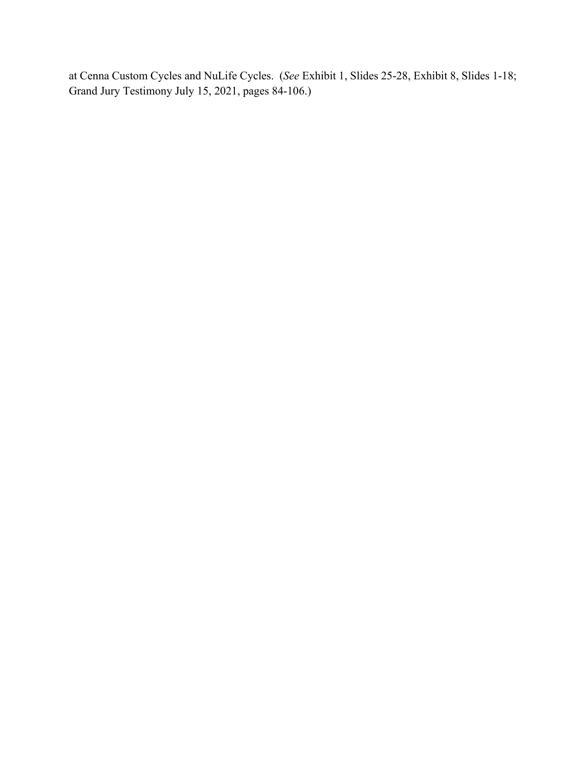at Cenna Custom Cycles and NuLife Cycles. (*See* Exhibit 1, Slides 25-28, Exhibit 8, Slides 1-18; Grand Jury Testimony July 15, 2021, pages 84-106.)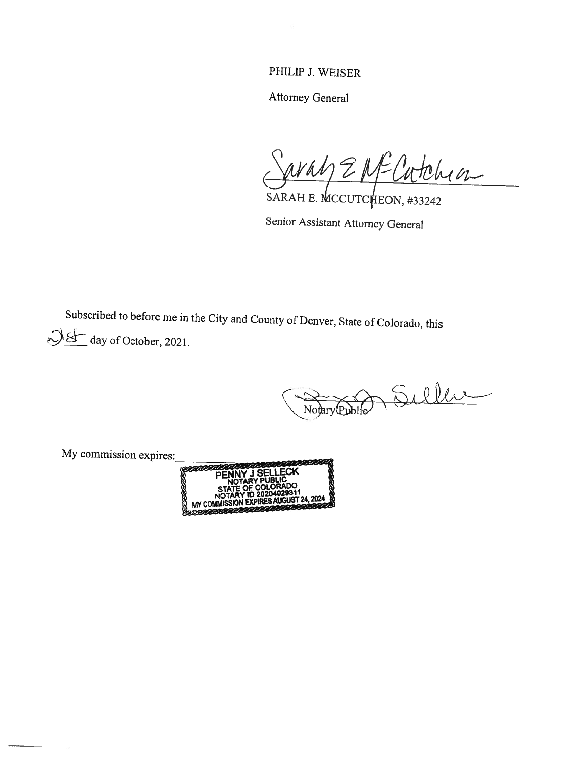## PHILIP J. WEISER

Attorney General

aray EME Catchion

SARAH E. MCCUTCHEON, #33242

Senior Assistant Attorney General

Subscribed to before me in the City and County of Denver, State of Colorado, this  $\bigcup \bigcup$  day of October, 2021.

 $\zeta$ Notary Public

My commission expires: